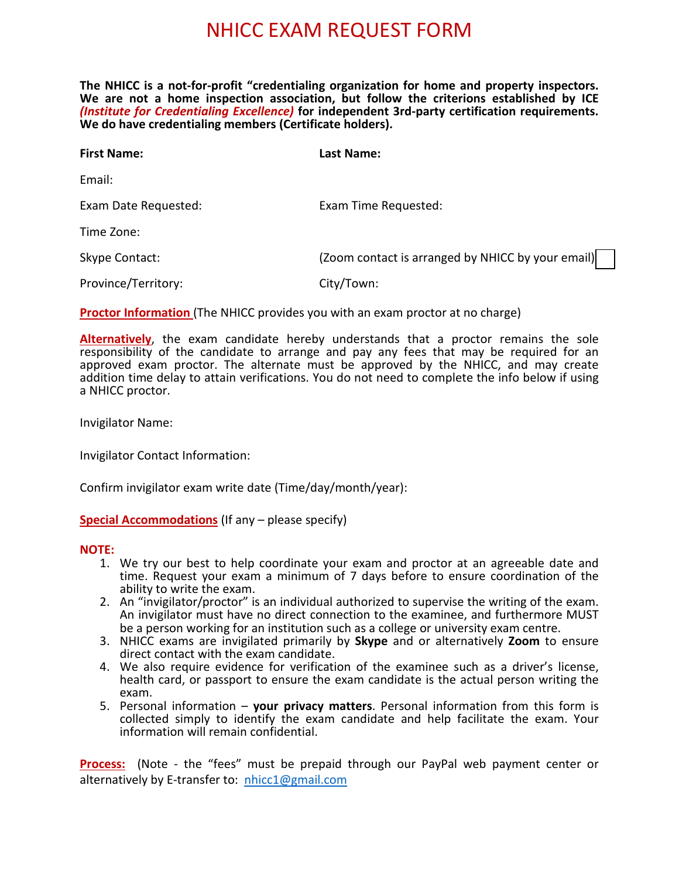## NHICC EXAM REQUEST FORM

**The NHICC is a not-for-profit "credentialing organization for home and property inspectors. We are not a home inspection association, but follow the criterions established by ICE**  *(Institute for Credentialing Excellence)* **for independent 3rd-party certification requirements. We do have credentialing members (Certificate holders).**

| <b>First Name:</b>   | Last Name:                                        |
|----------------------|---------------------------------------------------|
| Email:               |                                                   |
| Exam Date Requested: | Exam Time Requested:                              |
| Time Zone:           |                                                   |
| Skype Contact:       | (Zoom contact is arranged by NHICC by your email) |
| Province/Territory:  | City/Town:                                        |

**Proctor Information** (The NHICC provides you with an exam proctor at no charge)

**Alternatively**, the exam candidate hereby understands that a proctor remains the sole responsibility of the candidate to arrange and pay any fees that may be required for an approved exam proctor. The alternate must be approved by the NHICC, and may create addition time delay to attain verifications. You do not need to complete the info below if using a NHICC proctor.

Invigilator Name:

Invigilator Contact Information:

Confirm invigilator exam write date (Time/day/month/year):

## **Special Accommodations** (If any – please specify)

#### **NOTE:**

- 1. We try our best to help coordinate your exam and proctor at an agreeable date and time. Request your exam a minimum of 7 days before to ensure coordination of the ability to write the exam.
- 2. An "invigilator/proctor" is an individual authorized to supervise the writing of the exam. An invigilator must have no direct connection to the examinee, and furthermore MUST be a person working for an institution such as a college or university exam centre.
- 3. NHICC exams are invigilated primarily by **Skype** and or alternatively **Zoom** to ensure direct contact with the exam candidate.
- 4. We also require evidence for verification of the examinee such as a driver's license, health card, or passport to ensure the exam candidate is the actual person writing the exam.
- 5. Personal information **your privacy matters**. Personal information from this form is collected simply to identify the exam candidate and help facilitate the exam. Your information will remain confidential.

**Process:** (Note - the "fees" must be prepaid through our PayPal web payment center or alternatively by E-transfer to: nhicc1@gmail.com